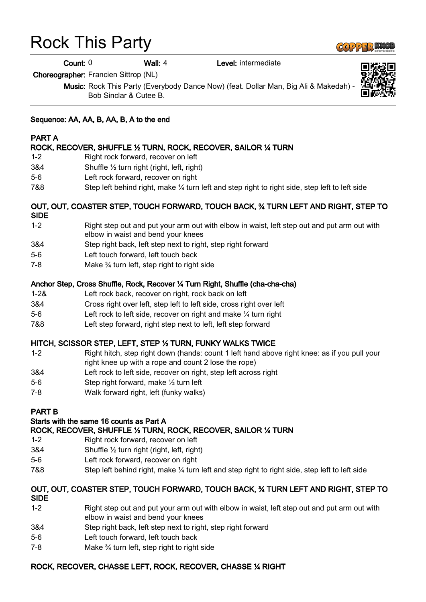# Rock This Party

Count: 0 Wall: 4 Level: intermediate

Choreographer: Francien Sittrop (NL)

Music: Rock This Party (Everybody Dance Now) (feat. Dollar Man, Big Ali & Makedah) Bob Sinclar & Cutee B.

# Sequence: AA, AA, B, AA, B, A to the end

# PART A

#### ROCK, RECOVER, SHUFFLE ½ TURN, ROCK, RECOVER, SAILOR ¼ TURN

- 1-2 Right rock forward, recover on left
- 3&4 Shuffle ½ turn right (right, left, right)
- 5-6 Left rock forward, recover on right
- 7&8 Step left behind right, make ¼ turn left and step right to right side, step left to left side

#### OUT, OUT, COASTER STEP, TOUCH FORWARD, TOUCH BACK, ¾ TURN LEFT AND RIGHT, STEP TO SIDE

- 1-2 Right step out and put your arm out with elbow in waist, left step out and put arm out with elbow in waist and bend your knees
- 3&4 Step right back, left step next to right, step right forward
- 5-6 Left touch forward, left touch back
- 7-8 Make ¾ turn left, step right to right side

#### Anchor Step, Cross Shuffle, Rock, Recover ¼ Turn Right, Shuffle (cha-cha-cha)

- 1-2& Left rock back, recover on right, rock back on left
- 3&4 Cross right over left, step left to left side, cross right over left
- 5-6 Left rock to left side, recover on right and make ¼ turn right
- 7&8 Left step forward, right step next to left, left step forward

#### HITCH, SCISSOR STEP, LEFT, STEP ½ TURN, FUNKY WALKS TWICE

- 1-2 Right hitch, step right down (hands: count 1 left hand above right knee: as if you pull your right knee up with a rope and count 2 lose the rope)
- 3&4 Left rock to left side, recover on right, step left across right
- 5-6 Step right forward, make ½ turn left
- 7-8 Walk forward right, left (funky walks)

#### PART B

#### Starts with the same 16 counts as Part A

#### ROCK, RECOVER, SHUFFLE ½ TURN, ROCK, RECOVER, SAILOR ¼ TURN

- 1-2 Right rock forward, recover on left
- 3&4 Shuffle ½ turn right (right, left, right)
- 5-6 Left rock forward, recover on right
- 7&8 Step left behind right, make ¼ turn left and step right to right side, step left to left side

#### OUT, OUT, COASTER STEP, TOUCH FORWARD, TOUCH BACK, ¾ TURN LEFT AND RIGHT, STEP TO SIDE

- 1-2 Right step out and put your arm out with elbow in waist, left step out and put arm out with elbow in waist and bend your knees
- 3&4 Step right back, left step next to right, step right forward
- 5-6 Left touch forward, left touch back
- 7-8 Make ¾ turn left, step right to right side

#### ROCK, RECOVER, CHASSE LEFT, ROCK, RECOVER, CHASSE ¼ RIGHT